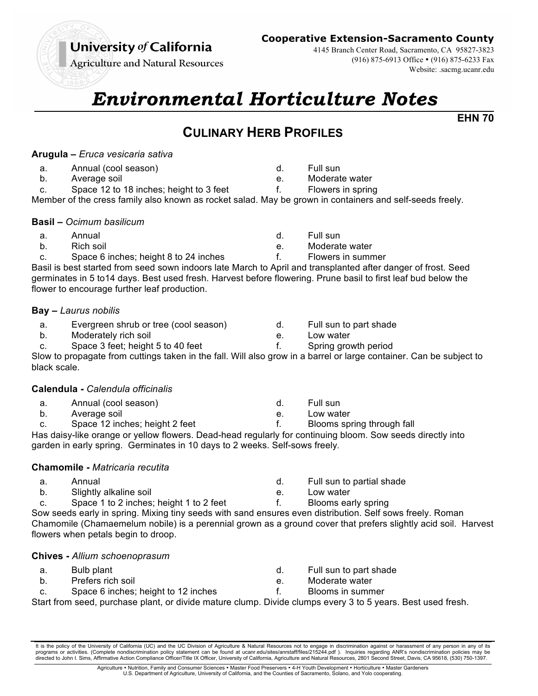# University of California

**Agriculture and Natural Resources** 

# **Cooperative Extension-Sacramento County**

4145 Branch Center Road, Sacramento, CA 95827-3823 (916) 875-6913 Office • (916) 875-6233 Fax Website: .sacmg.ucanr.edu

# *Environmental Horticulture Notes*

**EHN 70**

# **CULINARY HERB PROFILES**

### **Arugula –** *Eruca vesicaria sativa*

- a. Annual (cool season)
- b. Average soil
- c. Space 12 to 18 inches; height to 3 feet

f. Flowers in spring Member of the cress family also known as rocket salad. May be grown in containers and self-seeds freely.

### **Basil –** *Ocimum basilicum*

- a. Annual
- b. Rich soil
- c. Space 6 inches; height 8 to 24 inches

Basil is best started from seed sown indoors late March to April and transplanted after danger of frost. Seed germinates in 5 to14 days. Best used fresh. Harvest before flowering. Prune basil to first leaf bud below the flower to encourage further leaf production.

#### **Bay –** *Laurus nobilis*

- a. Evergreen shrub or tree (cool season)
- b. Moderately rich soil
- c. Space 3 feet; height 5 to 40 feet

Slow to propagate from cuttings taken in the fall. Will also grow in a barrel or large container. Can be subject to black scale.

#### **Calendula -** *Calendula officinalis*

- a. Annual (cool season) b. Average soil
- c. Space 12 inches; height 2 feet

Has daisy-like orange or yellow flowers. Dead-head regularly for continuing bloom. Sow seeds directly into garden in early spring. Germinates in 10 days to 2 weeks. Self-sows freely.

# **Chamomile -** *Matricaria recutita*

- a. Annual
- b. Slightly alkaline soil
- c. Space 1 to 2 inches; height 1 to 2 feet e. Low water f. Blooms early spring Sow seeds early in spring. Mixing tiny seeds with sand ensures even distribution. Self sows freely. Roman

Chamomile (Chamaemelum nobile) is a perennial grown as a ground cover that prefers slightly acid soil. Harvest flowers when petals begin to droop.

# **Chives -** *Allium schoenoprasum*

- a. Bulb plant
- b. Prefers rich soil c. Space 6 inches; height to 12 inches
- d. Full sun to part shade

d. Full sun to partial shade

- e. Moderate water
- f. Blooms in summer

Start from seed, purchase plant, or divide mature clump. Divide clumps every 3 to 5 years. Best used fresh.

It is the policy of the University of California (UC) and the UC Division of Agriculture & Natural Resources not to engage in discrimination against or harassment of any person in any of its<br>programs or activities. (Comple directed to John I. Sims, Affirmative Action Compliance Officer/Title IX Officer, University of California, Agriculture and Natural Resources, 2801 Second Street, Davis, CA 95618, (530) 750-1397.

> Agriculture • Nutrition, Family and Consumer Sciences • Master Food Preservers • 4-H Youth Development • Horticulture • Master Gardeners U.S. Department of Agriculture, University of California, and the Counties of Sacramento, Solano, and Yolo cooperating.

d. Full sun

d. Full sun

e. Moderate water

e. Moderate water

- f. Flowers in summer
	-
- d. Full sun to part shade
- e. Low water
- f. Spring growth period
	-
- e. Low water
- 
- 
- f. Blooms spring through fall

d. Full sun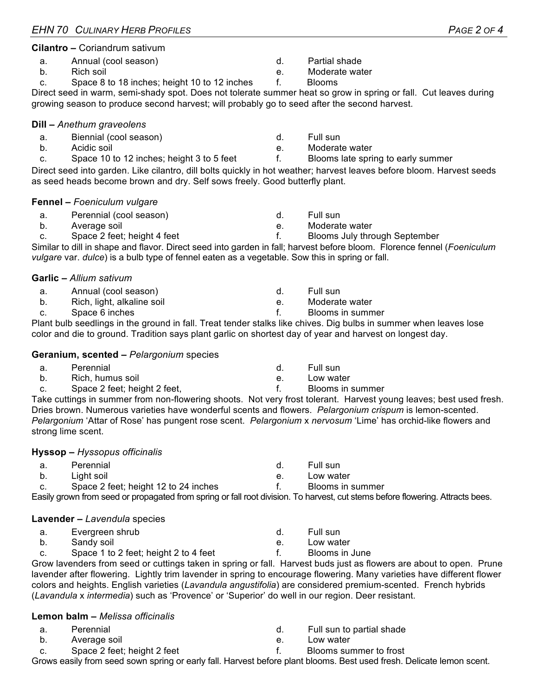# **Cilantro –** Coriandrum sativum

- a. Annual (cool season)
- b. Rich soil
- c. Space 8 to 18 inches; height 10 to 12 inches

Direct seed in warm, semi-shady spot. Does not tolerate summer heat so grow in spring or fall. Cut leaves during growing season to produce second harvest; will probably go to seed after the second harvest.

#### **Dill –** *Anethum graveolens*

- a. Biennial (cool season)
- b. Acidic soil
- c. Space 10 to 12 inches; height 3 to 5 feet

Direct seed into garden. Like cilantro, dill bolts quickly in hot weather; harvest leaves before bloom. Harvest seeds as seed heads become brown and dry. Self sows freely. Good butterfly plant.

#### **Fennel –** *Foeniculum vulgare*

- a. Perennial (cool season)
- b. Average soil
- c. Space 2 feet; height 4 feet

Similar to dill in shape and flavor. Direct seed into garden in fall; harvest before bloom. Florence fennel (*Foeniculum vulgare* var. *dulce*) is a bulb type of fennel eaten as a vegetable. Sow this in spring or fall.

#### **Garlic –** *Allium sativum*

- a. Annual (cool season)
- b. Rich, light, alkaline soil
- c. Space 6 inches

Plant bulb seedlings in the ground in fall. Treat tender stalks like chives. Dig bulbs in summer when leaves lose color and die to ground. Tradition says plant garlic on shortest day of year and harvest on longest day.

#### **Geranium, scented –** *Pelargonium* species

| а.   | Perennial                    | - Full sun     |
|------|------------------------------|----------------|
| b.   | Rich, humus soil             | Low water      |
| C. I | Space 2 feet; height 2 feet, | Blooms in summ |

Take cuttings in summer from non-flowering shoots. Not very frost tolerant. Harvest young leaves; best used fresh. Dries brown. Numerous varieties have wonderful scents and flowers. *Pelargonium crispum* is lemon-scented. *Pelargonium* 'Attar of Rose' has pungent rose scent. *Pelargonium* x *nervosum* 'Lime' has orchid-like flowers and strong lime scent.

#### **Hyssop –** *Hyssopus officinalis*

a. Perennial b. Light soil d. Full sun

c. Space 2 feet; height 12 to 24 inches Easily grown from seed or propagated from spring or fall root division. To harvest, cut stems before flowering. Attracts bees.

#### **Lavender –** *Lavendula* species

- a. Evergreen shrub
- b. Sandy soil
- c. Space 1 to 2 feet; height 2 to 4 feet

Grow lavenders from seed or cuttings taken in spring or fall. Harvest buds just as flowers are about to open. Prune lavender after flowering. Lightly trim lavender in spring to encourage flowering. Many varieties have different flower colors and heights. English varieties (*Lavandula angustifolia*) are considered premium-scented. French hybrids (*Lavandula* x *intermedia*) such as 'Provence' or 'Superior' do well in our region. Deer resistant.

#### **Lemon balm –** *Melissa officinalis*

- a. Perennial
- b. Average soil
- c. Space 2 feet; height 2 feet
- d. Full sun to partial shade
- e. Low water
- 

f. Blooms summer to frost

Grows easily from seed sown spring or early fall. Harvest before plant blooms. Best used fresh. Delicate lemon scent.

d. Full sun e. Moderate water

d. Partial shade e. Moderate water

f. Blooms

- f. Blooms late spring to early summer
- - d. Full sun
	- e. Moderate water
	- f. Blooms July through September
	- d. Full sun
	- e. Moderate water
	- f. Blooms in summer
		-
	- f. Blooms in summer
		-
	- e. Low water

f. Blooms in summer

- d. Full sun
- e. Low water
- f. Blooms in June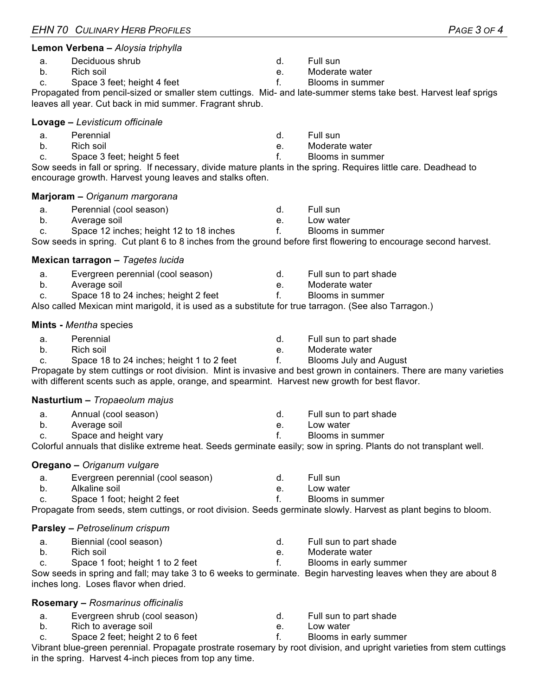|    | Luvay <del>o</del> — <i>L</i> ovisiicum omoniaio                                                                     |              |                               |
|----|----------------------------------------------------------------------------------------------------------------------|--------------|-------------------------------|
| a. | Perennial                                                                                                            | d.           | Full sun                      |
| b. | Rich soil                                                                                                            | e.           | Moderate water                |
| c. | Space 3 feet; height 5 feet                                                                                          | f.           | Blooms in summer              |
|    | Sow seeds in fall or spring. If necessary, divide mature plants in the spring. Requires little care. Deadhead to     |              |                               |
|    | encourage growth. Harvest young leaves and stalks often.                                                             |              |                               |
|    | Marjoram - Origanum margorana                                                                                        |              |                               |
| a. | Perennial (cool season)                                                                                              | d.           | Full sun                      |
| b. | Average soil                                                                                                         | e.           | Low water                     |
| C. | Space 12 inches; height 12 to 18 inches                                                                              | f.           | Blooms in summer              |
|    | Sow seeds in spring. Cut plant 6 to 8 inches from the ground before first flowering to encourage second harvest.     |              |                               |
|    | Mexican tarragon - Tagetes lucida                                                                                    |              |                               |
| a. | Evergreen perennial (cool season)                                                                                    | d.           | Full sun to part shade        |
| b. | Average soil                                                                                                         | e.           | Moderate water                |
| C. | Space 18 to 24 inches; height 2 feet                                                                                 | f.           | Blooms in summer              |
|    | Also called Mexican mint marigold, it is used as a substitute for true tarragon. (See also Tarragon.)                |              |                               |
|    | <b>Mints - Mentha species</b>                                                                                        |              |                               |
| a. | Perennial                                                                                                            | d.           | Full sun to part shade        |
| b. | Rich soil                                                                                                            | e.           | Moderate water                |
| C. | Space 18 to 24 inches; height 1 to 2 feet                                                                            | $f_{\rm{r}}$ | <b>Blooms July and August</b> |
|    | Propagate by stem cuttings or root division. Mint is invasive and best grown in containers. There are many varieties |              |                               |
|    | with different scents such as apple, orange, and spearmint. Harvest new growth for best flavor.                      |              |                               |
|    | Nasturtium - Tropaeolum majus                                                                                        |              |                               |
| a. | Annual (cool season)                                                                                                 | d.           | Full sun to part shade        |
| b. | Average soil                                                                                                         | e.           | Low water                     |
| c. | Space and height vary                                                                                                | f.           | Blooms in summer              |
|    | Colorful annuals that dislike extreme heat. Seeds germinate easily; sow in spring. Plants do not transplant well.    |              |                               |
|    | Oregano - Origanum vulgare                                                                                           |              |                               |
| a. | Evergreen perennial (cool season)                                                                                    | d.           | Full sun                      |
| b. | Alkaline soil                                                                                                        | e.           | Low water                     |
| C. | Space 1 foot; height 2 feet                                                                                          | f.           | Blooms in summer              |
|    | Propagate from seeds, stem cuttings, or root division. Seeds germinate slowly. Harvest as plant begins to bloom.     |              |                               |
|    | <b>Parsley - Petroselinum crispum</b>                                                                                |              |                               |
| a. | Biennial (cool season)                                                                                               | d.           | Full sun to part shade        |
| b. | Rich soil                                                                                                            | е.           | Moderate water                |
| c. | Space 1 foot; height 1 to 2 feet                                                                                     | $f_{\cdot}$  | Blooms in early summer        |
|    | Sow seeds in spring and fall; may take 3 to 6 weeks to germinate. Begin harvesting leaves when they are about 8      |              |                               |
|    |                                                                                                                      |              |                               |

- a. Evergreen shrub (cool season)
- b. Rich to average soil
- 

Vibrant blue-green perennial. Propagate prostrate rosemary by root division, and upright varieties from stem cuttings in the spring. Harvest 4-inch pieces from top any time.

#### **Lemon Verbena –** *Aloysia triphylla*

- a. Deciduous shrub
- b. Rich soil
- c. Space 3 feet; height 4 feet

Propagated from pencil-sized or smaller stem cuttings. Mid- and late-summer stems take best. Harvest leaf sprigs leaves all year. Cut back in mid summer. Fragrant shrub.

d. Full sun

e. Moderate water f. Blooms in summer

#### **Lovage –** *Levisticum officinale*

- 
- c. Space 3 feet; height 5 feet

#### **Marjoram –** *Origanum margorana*

- a. Perennial (cool season)
- b. Average soil

#### **Mints -** *Mentha* species

#### **Nasturtium –** *Tropaeolum majus*

#### **Oregano –** *Origanum vulgare*

#### **Parsley –** *Petroselinum crispum*

inches long. Loses flavor when dried.

#### **Rosemary –** *Rosmarinus officinalis*

- 
- 
- -
- c. Space 2 feet; height 2 to 6 feet
- d. Full sun to part shade
- e. Low water
- f. Blooms in early summer